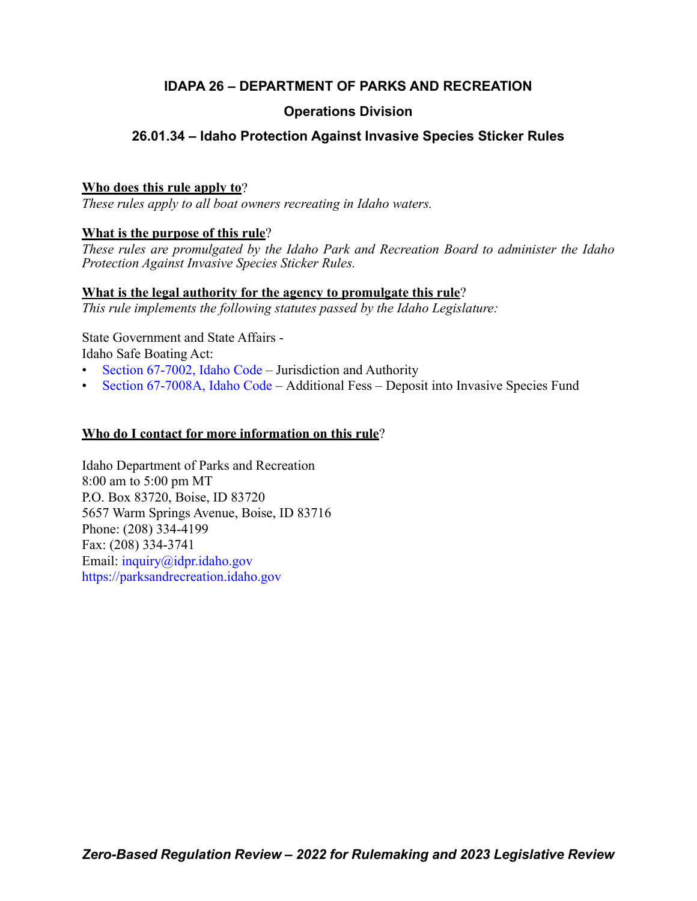# **IDAPA 26 – DEPARTMENT OF PARKS AND RECREATION**

# **Operations Division**

# **26.01.34 – Idaho Protection Against Invasive Species Sticker Rules**

# **Who does this rule apply to**?

*These rules apply to all boat owners recreating in Idaho waters.*

# **What is the purpose of this rule**?

*These rules are promulgated by the Idaho Park and Recreation Board to administer the Idaho Protection Against Invasive Species Sticker Rules.*

# **What is the legal authority for the agency to promulgate this rule**?

*This rule implements the following statutes passed by the Idaho Legislature:*

State Government and State Affairs - Idaho Safe Boating Act:

- [Section 67-7002, Idaho Code](https://legislature.idaho.gov/statutesrules/idstat/Title67/T67CH70/SECT67-7002/)  Jurisdiction and Authority
- [Section 67-7008A, Idaho Code](https://legislature.idaho.gov/statutesrules/idstat/Title67/T67CH70/SECT67-7008A/) Additional Fess Deposit into Invasive Species Fund

# **Who do I contact for more information on this rule**?

Idaho Department of Parks and Recreation 8:00 am to 5:00 pm MT P.O. Box 83720, Boise, ID 83720 5657 Warm Springs Avenue, Boise, ID 83716 Phone: (208) 334-4199 Fax: (208) 334-3741 Email: [inquiry@idpr.idaho.gov](mailto:inquiry@idpr.idaho.gov) <https://parksandrecreation.idaho.gov>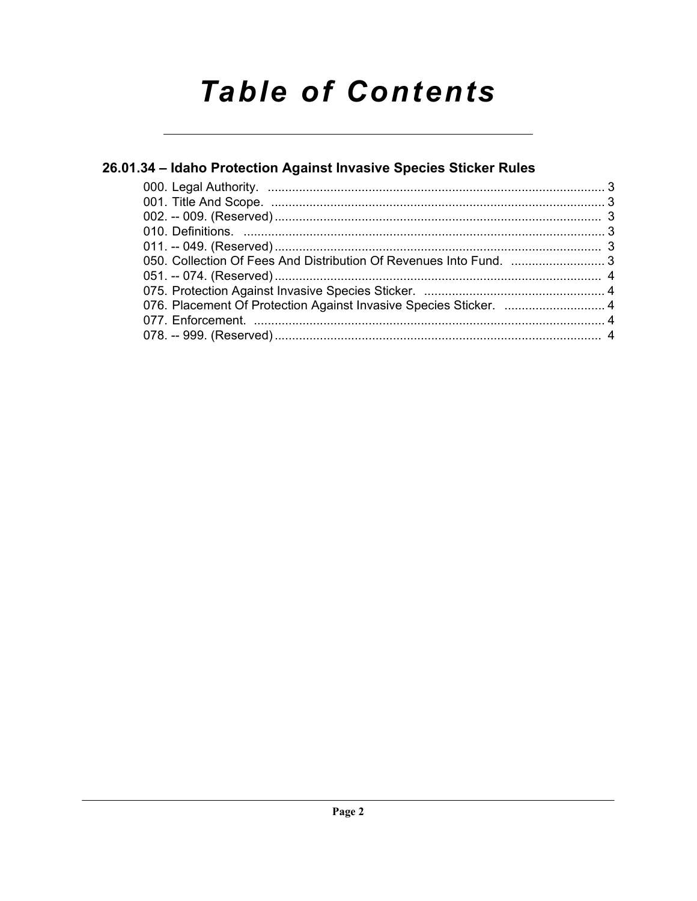# **Table of Contents**

# 26.01.34 - Idaho Protection Against Invasive Species Sticker Rules

| 050. Collection Of Fees And Distribution Of Revenues Into Fund. 3 |  |
|-------------------------------------------------------------------|--|
|                                                                   |  |
|                                                                   |  |
| 076. Placement Of Protection Against Invasive Species Sticker.  4 |  |
|                                                                   |  |
|                                                                   |  |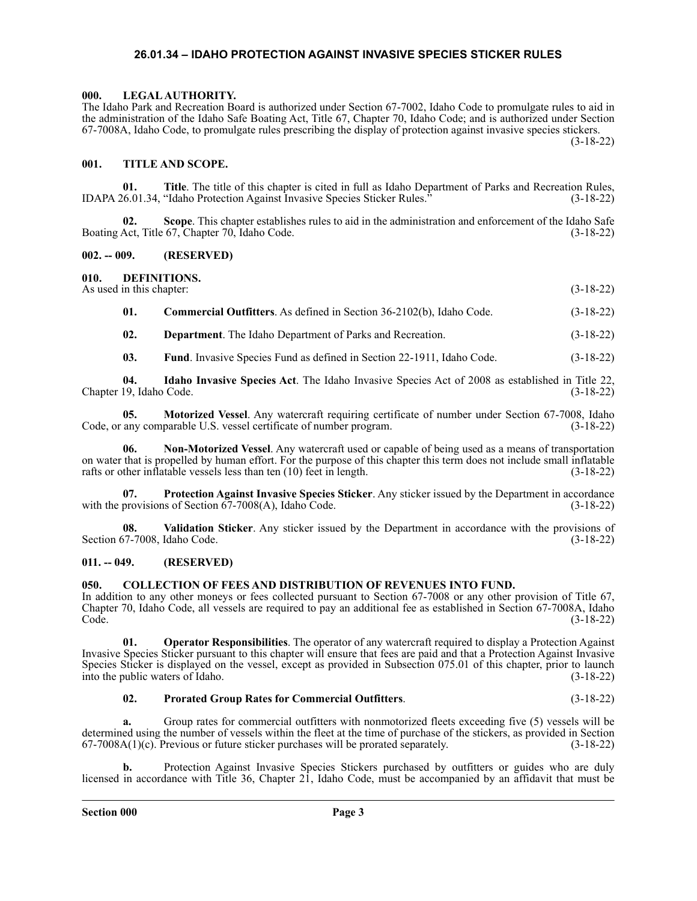### **26.01.34 – IDAHO PROTECTION AGAINST INVASIVE SPECIES STICKER RULES**

#### <span id="page-2-1"></span><span id="page-2-0"></span>**000. LEGAL AUTHORITY.**

The Idaho Park and Recreation Board is authorized under Section 67-7002, Idaho Code to promulgate rules to aid in the administration of the Idaho Safe Boating Act, Title 67, Chapter 70, Idaho Code; and is authorized under Section 67-7008A, Idaho Code, to promulgate rules prescribing the display of protection against invasive species stickers. (3-18-22)

#### <span id="page-2-2"></span>**001. TITLE AND SCOPE.**

**01. Title**. The title of this chapter is cited in full as Idaho Department of Parks and Recreation Rules, <br>
26.01.34, "Idaho Protection Against Invasive Species Sticker Rules." (3-18-22) IDAPA 26.01.34, "Idaho Protection Against Invasive Species Sticker Rules."

**02. Scope**. This chapter establishes rules to aid in the administration and enforcement of the Idaho Safe Boating Act, Title 67, Chapter 70, Idaho Code. (3-18-22)

#### <span id="page-2-3"></span>**002. -- 009. (RESERVED)**

#### <span id="page-2-4"></span>**010. DEFINITIONS.**

As used in this chapter: (3-18-22)

| 01. | <b>Commercial Outfitters.</b> As defined in Section 36-2102(b), Idaho Code. | $(3-18-22)$ |
|-----|-----------------------------------------------------------------------------|-------------|
|-----|-----------------------------------------------------------------------------|-------------|

**02. Department**. The Idaho Department of Parks and Recreation. (3-18-22)

**03.** Fund. Invasive Species Fund as defined in Section 22-1911, Idaho Code. (3-18-22)

**04. Idaho Invasive Species Act**. The Idaho Invasive Species Act of 2008 as established in Title 22, Chapter 19, Idaho Code. (3-18-22)

**05. Motorized Vessel**. Any watercraft requiring certificate of number under Section 67-7008, Idaho Code, or any comparable U.S. vessel certificate of number program. (3-18-22)

**06. Non-Motorized Vessel**. Any watercraft used or capable of being used as a means of transportation on water that is propelled by human effort. For the purpose of this chapter this term does not include small inflatable rafts or other inflatable vessels less than ten (10) feet in length. (3-18-22)

**07. Protection Against Invasive Species Sticker**. Any sticker issued by the Department in accordance with the provisions of Section  $67-7008(A)$ , Idaho Code.

**08. Validation Sticker**. Any sticker issued by the Department in accordance with the provisions of Section 67-7008, Idaho Code. (3-18-22)

#### <span id="page-2-5"></span>**011. -- 049. (RESERVED)**

#### <span id="page-2-6"></span>**050. COLLECTION OF FEES AND DISTRIBUTION OF REVENUES INTO FUND.**

In addition to any other moneys or fees collected pursuant to Section 67-7008 or any other provision of Title 67, Chapter 70, Idaho Code, all vessels are required to pay an additional fee as established in Section 67-7008A, Idaho Code. (3-18-22)

**Operator Responsibilities**. The operator of any watercraft required to display a Protection Against Invasive Species Sticker pursuant to this chapter will ensure that fees are paid and that a Protection Against Invasive Species Sticker is displayed on the vessel, except as provided in Subsection 075.01 of this chapter, prior to launch into the public waters of Idaho. (3-18-22) into the public waters of Idaho.

#### **02. Prorated Group Rates for Commercial Outfitters**. (3-18-22)

**a.** Group rates for commercial outfitters with nonmotorized fleets exceeding five (5) vessels will be determined using the number of vessels within the fleet at the time of purchase of the stickers, as provided in Section 67-7008A(1)(c). Previous or future sticker purchases will be prorated separately. (3-18-22)  $67-7008A(1)(c)$ . Previous or future sticker purchases will be prorated separately.

**b.** Protection Against Invasive Species Stickers purchased by outfitters or guides who are duly licensed in accordance with Title 36, Chapter 21, Idaho Code, must be accompanied by an affidavit that must be